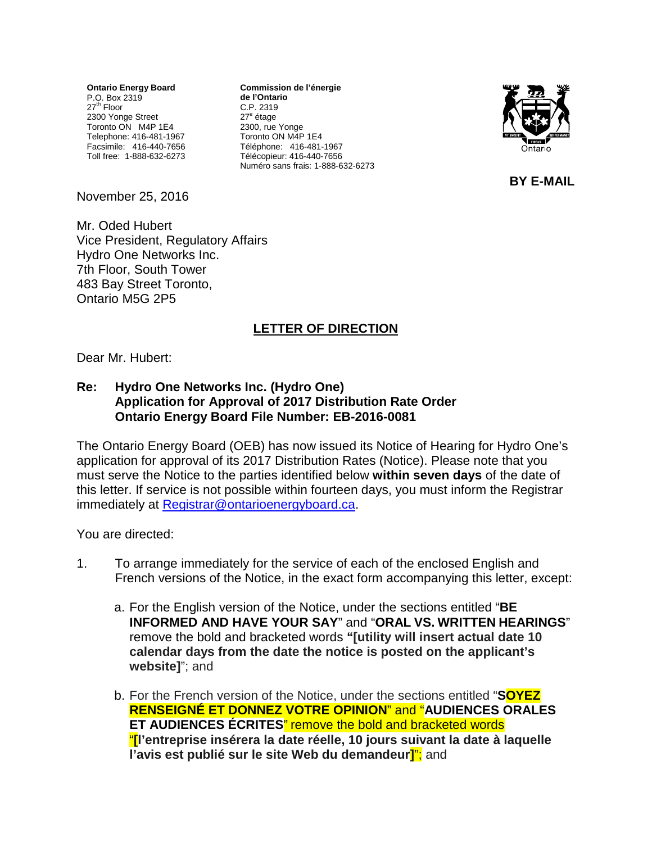**Ontario Energy Board** P.O. Box 2319 27<sup>th</sup> Floor 2300 Yonge Street Toronto ON M4P 1E4 Telephone: 416-481-1967 Facsimile: 416-440-7656 Toll free: 1-888-632-6273 **Commission de l'énergie de l'Ontario** C.P. 2319 27<sup>e</sup> étage 2300, rue Yonge Toronto ON M4P 1E4 Téléphone: 416-481-1967 Télécopieur: 416-440-7656 Numéro sans frais: 1-888-632-6273



**BY E-MAIL**

November 25, 2016

Mr. Oded Hubert Vice President, Regulatory Affairs Hydro One Networks Inc. 7th Floor, South Tower 483 Bay Street Toronto, Ontario M5G 2P5

## **LETTER OF DIRECTION**

Dear Mr. Hubert:

## **Re: Hydro One Networks Inc. (Hydro One) Application for Approval of 2017 Distribution Rate Order Ontario Energy Board File Number: EB-2016-0081**

The Ontario Energy Board (OEB) has now issued its Notice of Hearing for Hydro One's application for approval of its 2017 Distribution Rates (Notice). Please note that you must serve the Notice to the parties identified below **within seven days** of the date of this letter. If service is not possible within fourteen days, you must inform the Registrar immediately at [Registrar@ontarioenergyboard.ca.](mailto:Registrar@ontarioenergyboard.ca)

You are directed:

- 1. To arrange immediately for the service of each of the enclosed English and French versions of the Notice, in the exact form accompanying this letter, except:
	- a. For the English version of the Notice, under the sections entitled "**BE INFORMED AND HAVE YOUR SAY**" and "**ORAL VS. WRITTEN HEARINGS**" remove the bold and bracketed words **"[utility will insert actual date 10 calendar days from the date the notice is posted on the applicant's website]**"; and
	- b. For the French version of the Notice, under the sections entitled "**SOYEZ RENSEIGNÉ ET DONNEZ VOTRE OPINION**" and "**AUDIENCES ORALES ET AUDIENCES ÉCRITES**" remove the bold and bracketed words "**[l'entreprise insérera la date réelle, 10 jours suivant la date à laquelle l'avis est publié sur le site Web du demandeur]**"; and